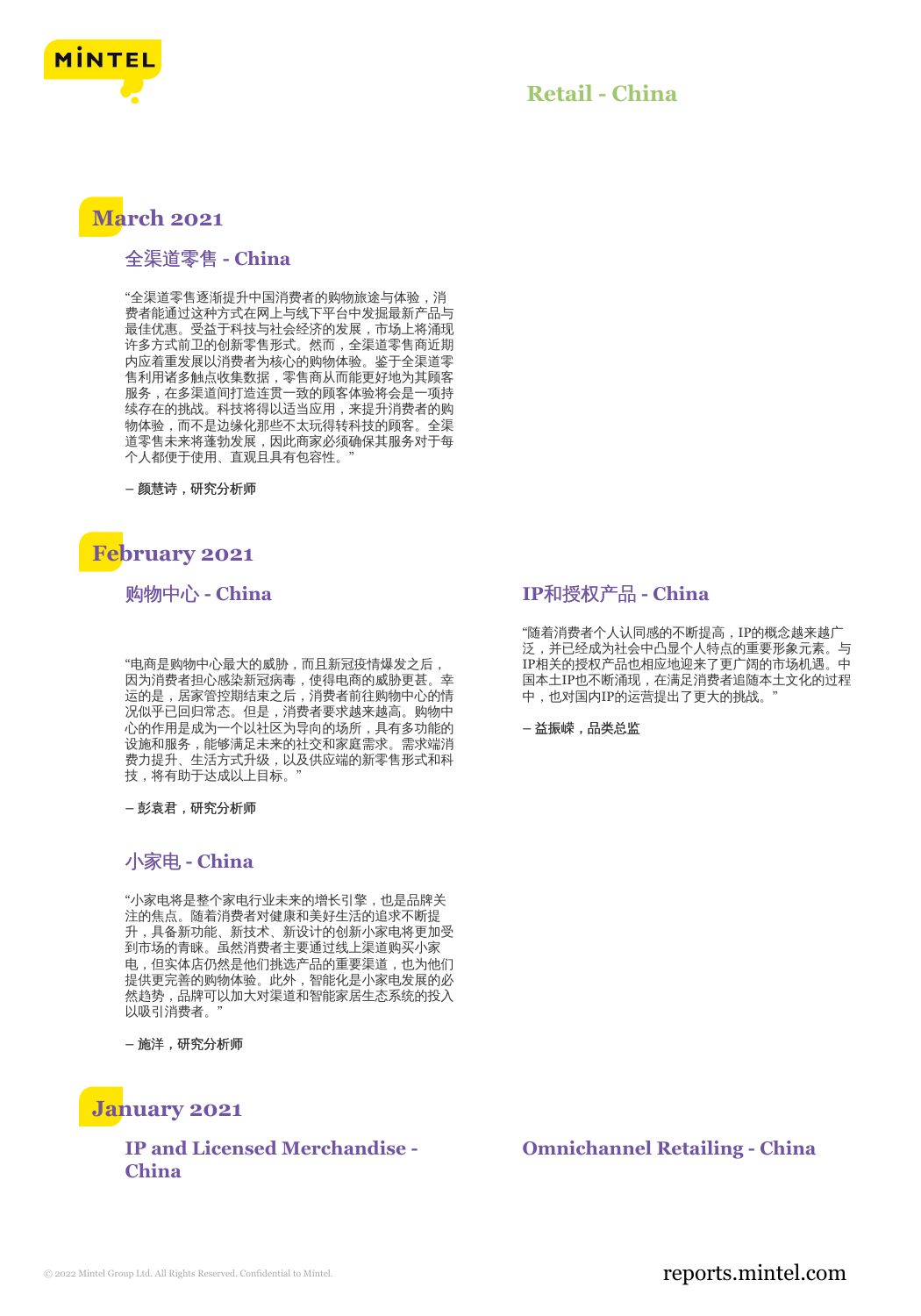

### **Retail - China**

# **March 2021**

#### 全渠道零售 **- China**

"全渠道零售逐渐提升中国消费者的购物旅途与体验,消 费者能通过这种方式在网上与线下平台中发掘最新产品与 最佳优惠。受益于科技与社会经济的发展,市场上将涌现 许多方式前卫的创新零售形式。然而,全渠道零售商近期 内应着重发展以消费者为核心的购物体验。鉴于全渠道零 售利用诸多触点收集数据,零售商从而能更好地为其顾客 服务,在多渠道间打造连贯一致的顾客体验将会是一项持 续存在的挑战。科技将得以适当应用,来提升消费者的购 物体验,而不是边缘化那些不太玩得转科技的顾客。全渠 道零售未来将蓬勃发展,因此商家必须确保其服务对于每 个人都便于使用、直观且具有包容性。"

**–** 颜慧诗,研究分析师

# **February 2021**

购物中心 **- China**

"电商是购物中心最大的威胁,而且新冠疫情爆发之后, 因为消费者担心感染新冠病毒,使得电商的威胁更甚。幸 运的是,居家管控期结束之后,消费者前往购物中心的情 况似乎已回归常态。但是,消费者要求越来越高。购物中 心的作用是成为一个以社区为导向的场所,具有多功能的 设施和服务,能够满足未来的社交和家庭需求。需求端消 费力提升、生活方式升级,以及供应端的新零售形式和科 技,将有助于达成以上目标。

**–** 彭袁君,研究分析师

#### 小家电 **- China**

"小家电将是整个家电行业未来的增长引擎,也是品牌关 注的焦点。随着消费者对健康和美好生活的追求不断提 升,具备新功能、新技术、新设计的创新小家电将更加受 到市场的青睐。虽然消费者主要通过线上渠道购买小家 电,但实体店仍然是他们挑选产品的重要渠道,也为他们 提供更完善的购物体验。此外,智能化是小家电发展的必 然趋势,品牌可以加大对渠道和智能家居生态系统的投入 以吸引消费者。"

**–** 施洋,研究分析师

## **January 2021**

**IP and Licensed Merchandise - China**

#### **IP**和授权产品 **- China**

"随着消费者个人认同感的不断提高,IP的概念越来越广 泛,并已经成为社会中凸显个人特点的重要形象元素。与 IP相关的授权产品也相应地迎来了更广阔的市场机遇。中 国本土IP也不断涌现,在满足消费者追随本土文化的过程 中,也对国内IP的运营提出了更大的挑战。

**–** 益振嵘,品类总监

#### **Omnichannel Retailing - China**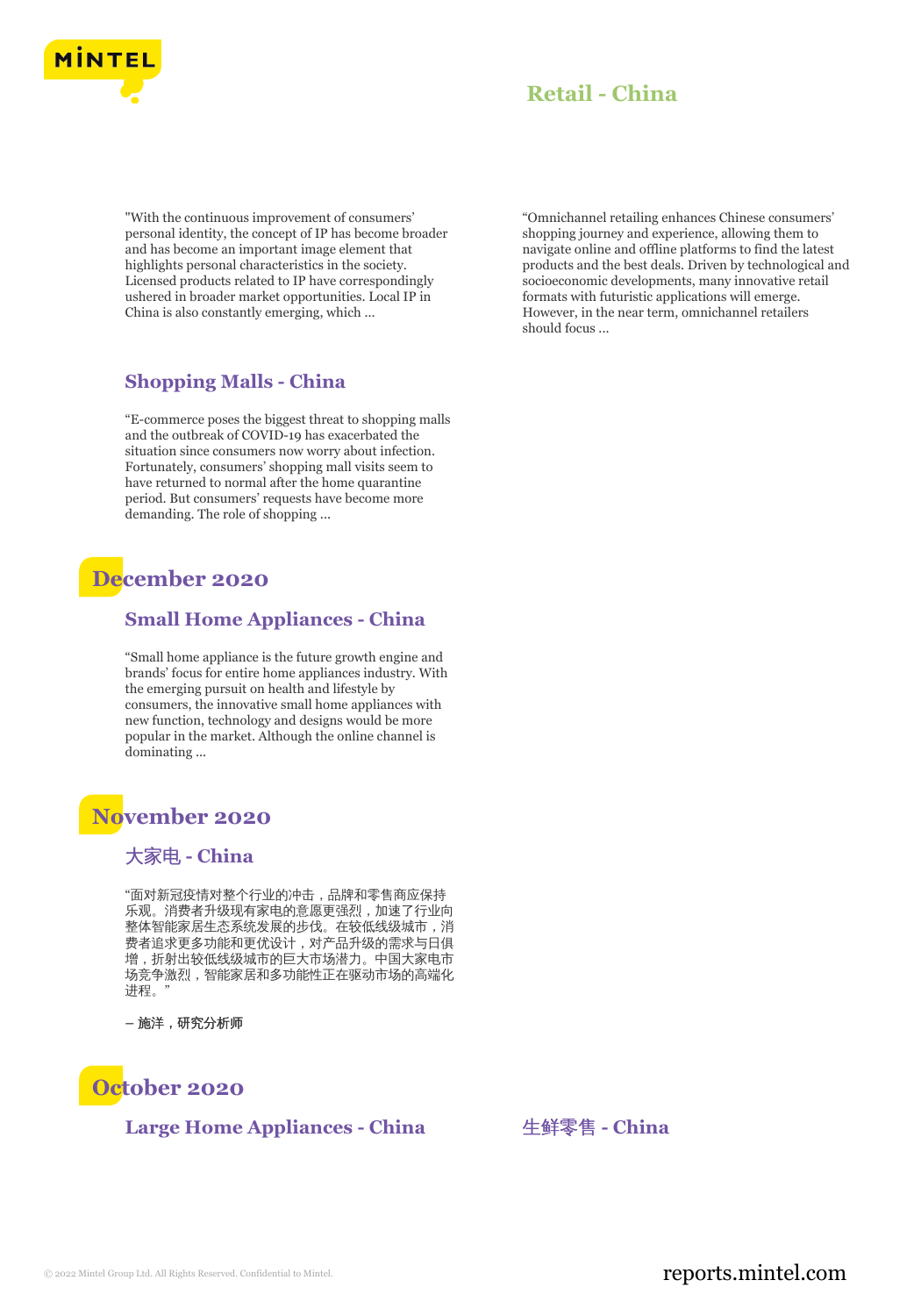

## **Retail - China**

"With the continuous improvement of consumers' personal identity, the concept of IP has become broader and has become an important image element that highlights personal characteristics in the society. Licensed products related to IP have correspondingly ushered in broader market opportunities. Local IP in China is also constantly emerging, which ...

### **Shopping Malls - China**

"E-commerce poses the biggest threat to shopping malls and the outbreak of COVID-19 has exacerbated the situation since consumers now worry about infection. Fortunately, consumers' shopping mall visits seem to have returned to normal after the home quarantine period. But consumers' requests have become more demanding. The role of shopping ...

# **December 2020**

#### **Small Home Appliances - China**

"Small home appliance is the future growth engine and brands' focus for entire home appliances industry. With the emerging pursuit on health and lifestyle by consumers, the innovative small home appliances with new function, technology and designs would be more popular in the market. Although the online channel is dominating ...

# **November 2020**

#### 大家电 **- China**

"面对新冠疫情对整个行业的冲击,品牌和零售商应保持 乐观。消费者升级现有家电的意愿更强烈,加速了行业向 整体智能家居生态系统发展的步伐。在较低线级城市,消 费者追求更多功能和更优设计,对产品升级的需求与日俱 增,折射出较低线级城市的巨大市场潜力。中国大家电市 场竞争激烈,智能家居和多功能性正在驱动市场的高端化 进程。"

**–** 施洋,研究分析师



#### **Large Home Appliances - China** 生鲜零售 **- China**

"Omnichannel retailing enhances Chinese consumers' shopping journey and experience, allowing them to navigate online and offline platforms to find the latest products and the best deals. Driven by technological and socioeconomic developments, many innovative retail formats with futuristic applications will emerge. However, in the near term, omnichannel retailers should focus ...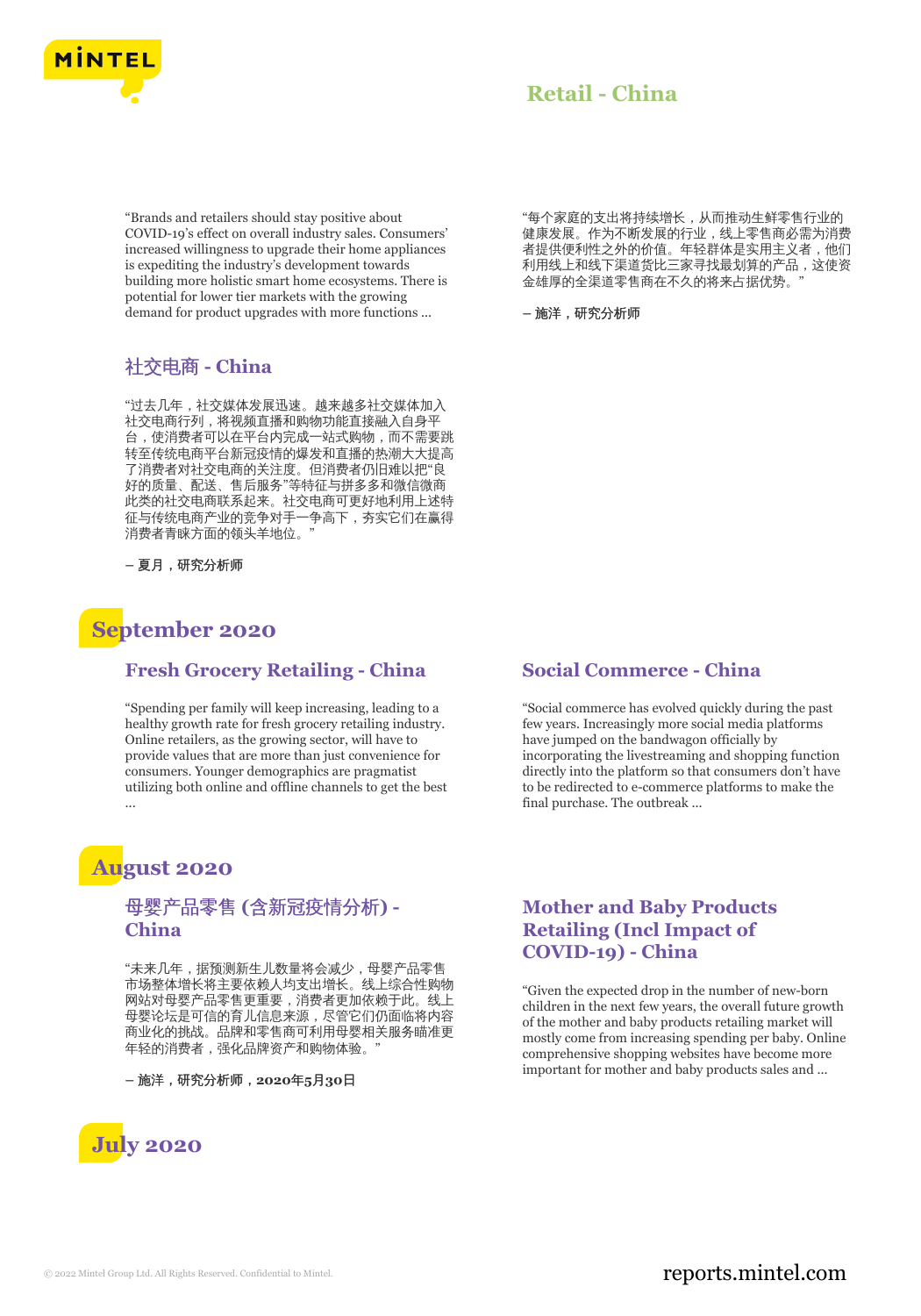

#### "Brands and retailers should stay positive about COVID-19's effect on overall industry sales. Consumers' increased willingness to upgrade their home appliances is expediting the industry's development towards building more holistic smart home ecosystems. There is potential for lower tier markets with the growing demand for product upgrades with more functions ...

### 社交电商 **- China**

"过去几年,社交媒体发展迅速。越来越多社交媒体加入 社交电商行列,将视频直播和购物功能直接融入自身平 台,使消费者可以在平台内完成一站式购物,而不需要跳 转至传统电商平台新冠疫情的爆发和直播的热潮大大提高 了消费者对社交电商的关注度。但消费者仍旧难以把"良 好的质量、配送、售后服务"等特征与拼多多和微信微商 此类的社交电商联系起来。社交电商可更好地利用上述特 征与传统电商产业的竞争对手一争高下,夯实它们在赢得 消费者青睐方面的领头羊地位。

**–** 夏月,研究分析师

# **September 2020**

#### **Fresh Grocery Retailing - China**

"Spending per family will keep increasing, leading to a healthy growth rate for fresh grocery retailing industry. Online retailers, as the growing sector, will have to provide values that are more than just convenience for consumers. Younger demographics are pragmatist utilizing both online and offline channels to get the best ...

# **August 2020**

#### 母婴产品零售 **(**含新冠疫情分析**) - China**

"未来几年,据预测新生儿数量将会减少,母婴产品零售 市场整体增长将主要依赖人均支出增长。线上综合性购物 网站对母婴产品零售更重要,消费者更加依赖于此。线上 母婴论坛是可信的育儿信息来源,尽管它们仍面临将内容 商业化的挑战。品牌和零售商可利用母婴相关服务瞄准更 年轻的消费者,强化品牌资产和购物体验。

**–** 施洋,研究分析师,**2020**年**5**月**30**日



"每个家庭的支出将持续增长,从而推动生鲜零售行业的 健康发展。作为不断发展的行业,线上零售商必需为消费 者提供便利性之外的价值。年轻群体是实用主义者,他们 利用线上和线下渠道货比三家寻找最划算的产品,这使资 金雄厚的全渠道零售商在不久的将来占据优势。"

**–** 施洋,研究分析师

#### **Social Commerce - China**

"Social commerce has evolved quickly during the past few years. Increasingly more social media platforms have jumped on the bandwagon officially by incorporating the livestreaming and shopping function directly into the platform so that consumers don't have to be redirected to e-commerce platforms to make the final purchase. The outbreak ...

#### **Mother and Baby Products Retailing (Incl Impact of COVID-19) - China**

"Given the expected drop in the number of new-born children in the next few years, the overall future growth of the mother and baby products retailing market will mostly come from increasing spending per baby. Online comprehensive shopping websites have become more important for mother and baby products sales and ...

### © 2022 Mintel Group Ltd. All Rights Reserved. Confidential to Mintel.  $\blacksquare$  reports.mintel.com

# **Retail - China**